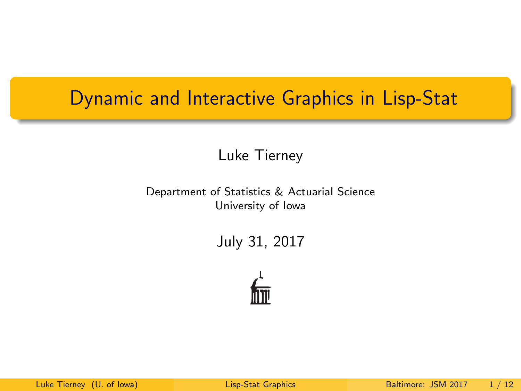### <span id="page-0-0"></span>Dynamic and Interactive Graphics in Lisp-Stat

Luke Tierney

Department of Statistics & Actuarial Science University of Iowa

July 31, 2017

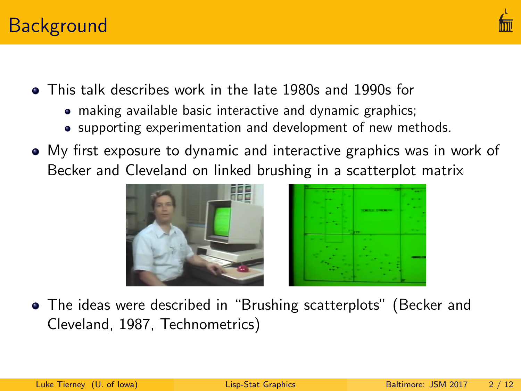

- This talk describes work in the late 1980s and 1990s for
	- making available basic interactive and dynamic graphics;
	- supporting experimentation and development of new methods.
- My first exposure to dynamic and interactive graphics was in work of Becker and Cleveland on linked brushing in a scatterplot matrix



The ideas were described in "Brushing scatterplots" (Becker and Cleveland, 1987, Technometrics)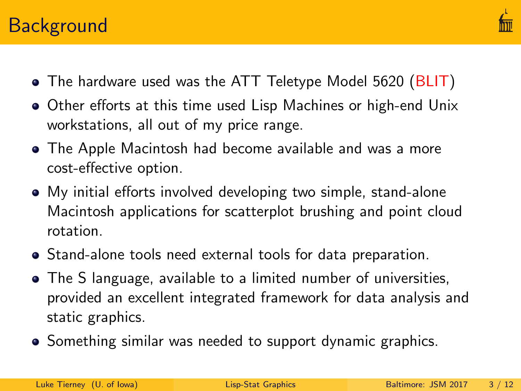# **Background**



- The hardware used was the ATT Teletype Model 5620 [\(BLIT\)](https://en.wikipedia.org/wiki/Blit_(computer_terminal))
- Other efforts at this time used Lisp Machines or high-end Unix workstations, all out of my price range.
- The Apple Macintosh had become available and was a more cost-effective option.
- My initial efforts involved developing two simple, stand-alone Macintosh applications for scatterplot brushing and point cloud rotation.
- Stand-alone tools need external tools for data preparation.
- The S language, available to a limited number of universities, provided an excellent integrated framework for data analysis and static graphics.
- Something similar was needed to support dynamic graphics.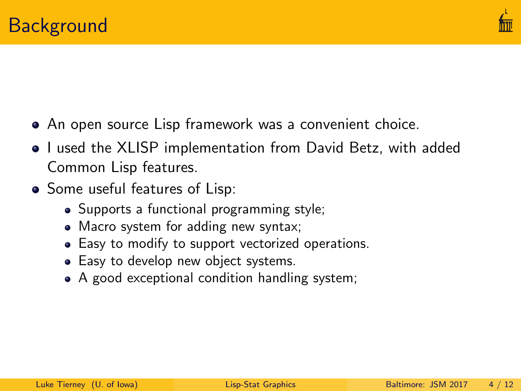

- An open source Lisp framework was a convenient choice.
- I used the XLISP implementation from David Betz, with added Common Lisp features.
- Some useful features of Lisp:
	- Supports a functional programming style;
	- Macro system for adding new syntax;
	- Easy to modify to support vectorized operations.
	- Easy to develop new object systems.
	- A good exceptional condition handling system;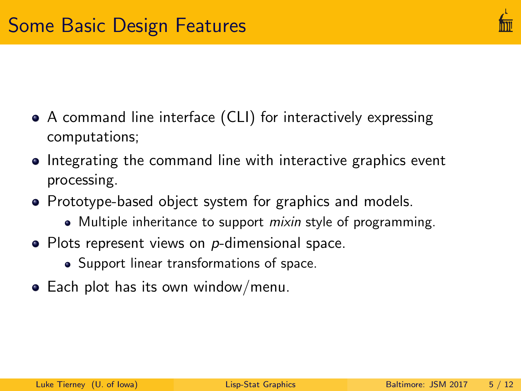- A command line interface (CLI) for interactively expressing computations;
- Integrating the command line with interactive graphics event processing.
- Prototype-based object system for graphics and models.
	- Multiple inheritance to support *mixin* style of programming.
- $\bullet$  Plots represent views on  $p$ -dimensional space.
	- Support linear transformations of space.
- Each plot has its own window/menu.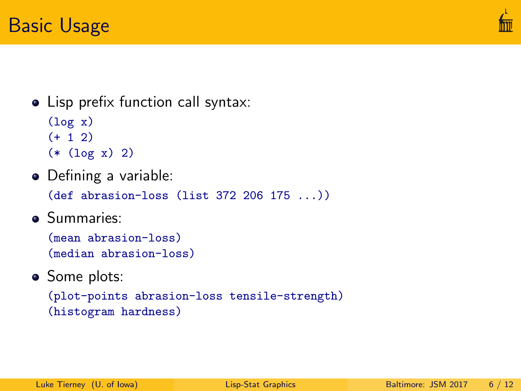

#### • Lisp prefix function call syntax:

```
(\log x)(+ 1 2)(* (log x) 2)
```
• Defining a variable:

(def abrasion-loss (list 372 206 175 ...))

**•** Summaries:

```
(mean abrasion-loss)
(median abrasion-loss)
```
• Some plots:

```
(plot-points abrasion-loss tensile-strength)
(histogram hardness)
```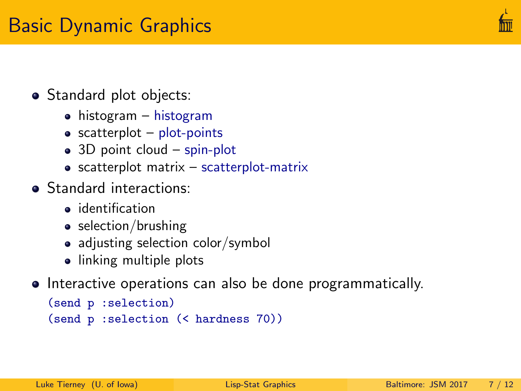

### • Standard plot objects:

- histogram histogram
- $\bullet$  scatterplot plot-points
- 3D point cloud spin-plot
- $\bullet$  scatterplot matrix scatterplot-matrix
- **•** Standard interactions:
	- **·** identification
	- selection/brushing
	- adjusting selection color/symbol
	- linking multiple plots
- Interactive operations can also be done programmatically.

```
(send p :selection)
(send p :selection (< hardness 70))
```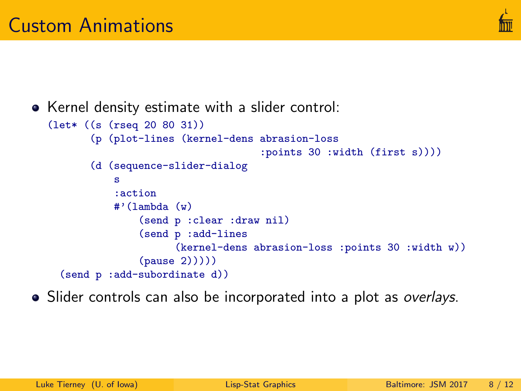

```
• Kernel density estimate with a slider control:
  (let* ((s (rseq 20 80 31))
         (p (plot-lines (kernel-dens abrasion-loss
                                      :points 30 :width (first s))))
         (d (sequence-slider-dialog
             s
             :action
             #'(lambda (w)
                  (send p :clear :draw nil)
                 (send p :add-lines
                        (kernel-dens abrasion-loss :points 30 :width w))
                  (pause (2))))(send p :add-subordinate d))
```
• Slider controls can also be incorporated into a plot as overlays.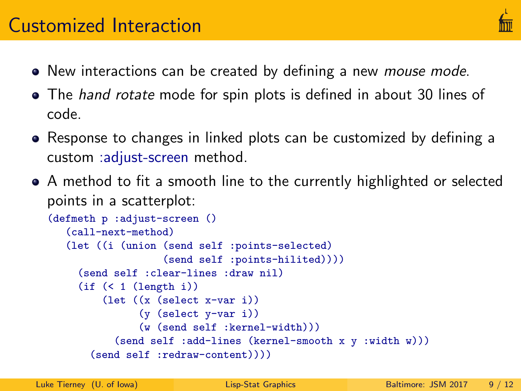- New interactions can be created by defining a new *mouse mode*.
- The *hand rotate* mode for spin plots is defined in about 30 lines of code.
- Response to changes in linked plots can be customized by defining a custom :adjust-screen method.
- A method to fit a smooth line to the currently highlighted or selected points in a scatterplot:

```
(defmeth p :adjust-screen ()
   (call-next-method)
   (let ((i (union (send self :points-selected)
                   (send self :points-hilited))))
     (send self :clear-lines :draw nil)
     (if (< 1 (length i))
         (let ((x (select x-var i))
               (y (select y-var i))
               (w (send self :kernel-width)))
           (send self :add-lines (kernel-smooth x y :width w)))
       (send self :redraw-content))))
```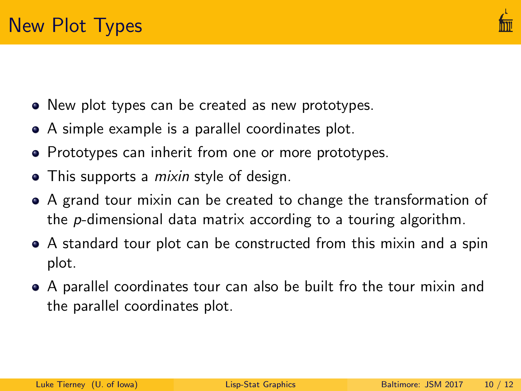

- New plot types can be created as new prototypes.
- A simple example is a parallel coordinates plot.
- Prototypes can inherit from one or more prototypes.
- This supports a *mixin* style of design.
- A grand tour mixin can be created to change the transformation of the p-dimensional data matrix according to a touring algorithm.
- A standard tour plot can be constructed from this mixin and a spin plot.
- A parallel coordinates tour can also be built fro the tour mixin and the parallel coordinates plot.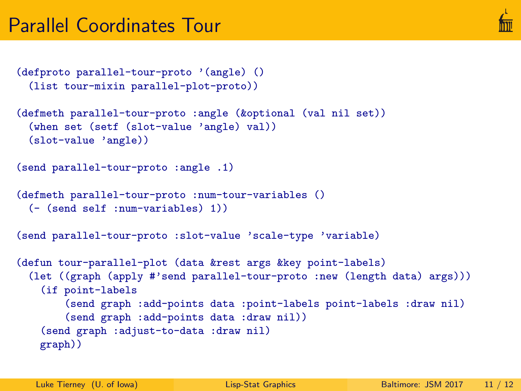